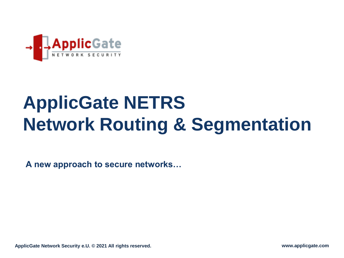

# **ApplicGate NETRS Network Routing & Segmentation**

**A new approach to secure networks…**

**ApplicGate Network Security e.U. © 2021 All rights reserved. www.applicgate.com**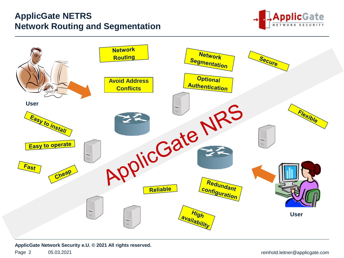# **ApplicGate NETRS Network Routing and Segmentation**





**ApplicGate Network Security e.U. © 2021 All rights reserved.**

Page 2 05.03.2021 05:03.2021 05:03.2021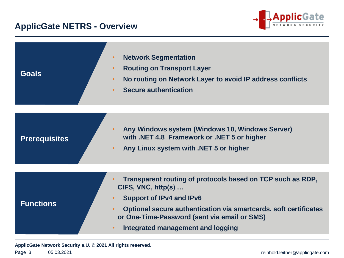## **ApplicGate NETRS - Overview**



| <b>Goals</b>         | <b>Network Segmentation</b><br>$\bullet$<br><b>Routing on Transport Layer</b><br>$\bullet$<br>No routing on Network Layer to avoid IP address conflicts<br>$\bullet$<br><b>Secure authentication</b><br>$\bullet$                                                                                                   |
|----------------------|---------------------------------------------------------------------------------------------------------------------------------------------------------------------------------------------------------------------------------------------------------------------------------------------------------------------|
| <b>Prerequisites</b> | Any Windows system (Windows 10, Windows Server)<br>with .NET 4.8 Framework or .NET 5 or higher<br>Any Linux system with .NET 5 or higher<br>$\bullet$                                                                                                                                                               |
| <b>Functions</b>     | Transparent routing of protocols based on TCP such as RDP,<br>CIFS, VNC, http(s)<br><b>Support of IPv4 and IPv6</b><br>$\bullet$<br>Optional secure authentication via smartcards, soft certificates<br>$\bullet$<br>or One-Time-Password (sent via email or SMS)<br>Integrated management and logging<br>$\bullet$ |

**ApplicGate Network Security e.U. © 2021 All rights reserved.**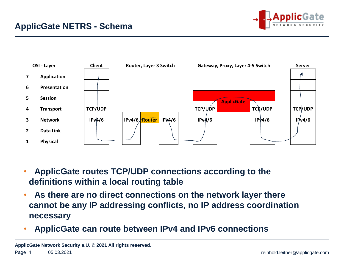



• **ApplicGate routes TCP/UDP connections according to the definitions within a local routing table**

- **As there are no direct connections on the network layer there cannot be any IP addressing conflicts, no IP address coordination necessary**
- **ApplicGate can route between IPv4 and IPv6 connections**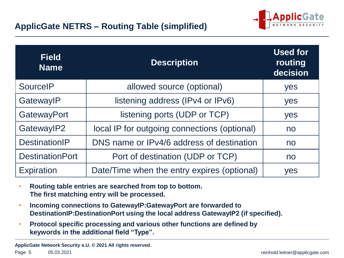

| <b>Field</b><br><b>Name</b> | <b>Description</b>                           | <b>Used for</b><br>routing<br>decision |
|-----------------------------|----------------------------------------------|----------------------------------------|
| <b>SourcelP</b>             | allowed source (optional)                    | yes                                    |
| GatewaylP                   | listening address (IPv4 or IPv6)             | yes                                    |
| GatewayPort                 | listening ports (UDP or TCP)                 | yes                                    |
| Gateway IP2                 | local IP for outgoing connections (optional) | no                                     |
| <b>DestinationIP</b>        | DNS name or IPv4/6 address of destination    | no                                     |
| <b>DestinationPort</b>      | Port of destination (UDP or TCP)             | no                                     |
| <b>Expiration</b>           | Date/Time when the entry expires (optional)  | yes                                    |

- **Routing table entries are searched from top to bottom. The first matching entry will be processed.**
- **Incoming connections to GatewayIP:GatewayPort are forwarded to DestinationIP:DestinationPort using the local address GatewayIP2 (if specified).**
- **Protocol specific processing and various other functions are defined by keywords in the additional field "Type".**

**ApplicGate Network Security e.U. © 2021 All rights reserved.**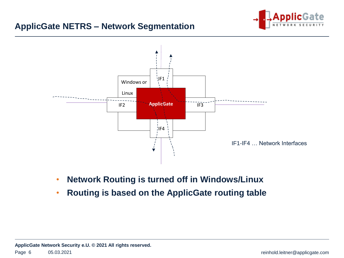

# **ApplicGate NETRS – Network Segmentation**



- **Network Routing is turned off in Windows/Linux**
- **Routing is based on the ApplicGate routing table**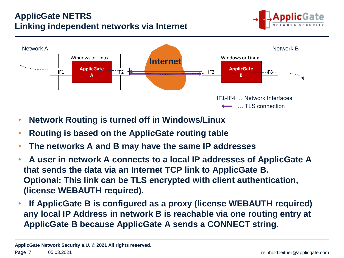



- **Network Routing is turned off in Windows/Linux**
- **Routing is based on the ApplicGate routing table**
- **The networks A and B may have the same IP addresses**
- **A user in network A connects to a local IP addresses of ApplicGate A that sends the data via an Internet TCP link to ApplicGate B. Optional: This link can be TLS encrypted with client authentication, (license WEBAUTH required).**
- **If ApplicGate B is configured as a proxy (license WEBAUTH required) any local IP Address in network B is reachable via one routing entry at ApplicGate B because ApplicGate A sends a CONNECT string.**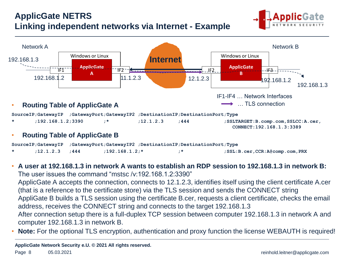# **ApplicGate NETRS Linking independent networks via Internet - Example**





#### • **A user at 192.168.1.3 in network A wants to establish an RDP session to 192.168.1.3 in network B:** The user issues the command "mstsc /v:192.168.1.2:3390"

ApplicGate A accepts the connection, connects to 12.1.2.3, identifies itself using the client certificate A.cer (that is a reference to the certificate store) via the TLS session and sends the CONNECT string AppliGate B builds a TLS session using the certificate B.cer, requests a client certificate, checks the email address, receives the CONNECT string and connects to the target 192.168.1.3 After connection setup there is a full-duplex TCP session between computer 192.168.1.3 in network A and computer 192.168.1.3 in network B.

• **Note:** For the optional TLS encryption, authentication and proxy function the license WEBAUTH is required!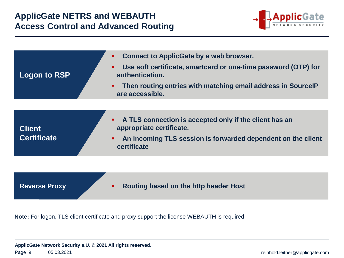# **ApplicGate NETRS and WEBAUTH Access Control and Advanced Routing**



| Logon to RSP                        | Connect to ApplicGate by a web browser.<br>$\blacksquare$<br>Use soft certificate, smartcard or one-time password (OTP) for<br>$\blacksquare$<br>authentication.<br>Then routing entries with matching email address in SourcelP<br>п.<br>are accessible. |
|-------------------------------------|-----------------------------------------------------------------------------------------------------------------------------------------------------------------------------------------------------------------------------------------------------------|
| <b>Client</b><br><b>Certificate</b> | • A TLS connection is accepted only if the client has an<br>appropriate certificate.<br>An incoming TLS session is forwarded dependent on the client<br>$\blacksquare$<br>certificate                                                                     |
|                                     |                                                                                                                                                                                                                                                           |

**Reverse Proxy <b>Routing based on the http header Host** 

**Note:** For logon, TLS client certificate and proxy support the license WEBAUTH is required!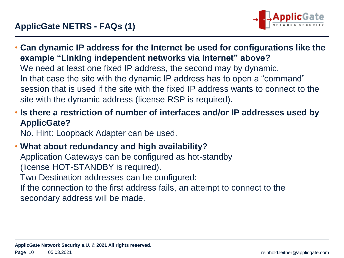

- **Can dynamic IP address for the Internet be used for configurations like the example "Linking independent networks via Internet" above?** We need at least one fixed IP address, the second may by dynamic. In that case the site with the dynamic IP address has to open a "command" session that is used if the site with the fixed IP address wants to connect to the site with the dynamic address (license RSP is required).
- **Is there a restriction of number of interfaces and/or IP addresses used by ApplicGate?**

No. Hint: Loopback Adapter can be used.

• **What about redundancy and high availability?** Application Gateways can be configured as hot-standby (license HOT-STANDBY is required). Two Destination addresses can be configured: If the connection to the first address fails, an attempt to connect to the secondary address will be made.